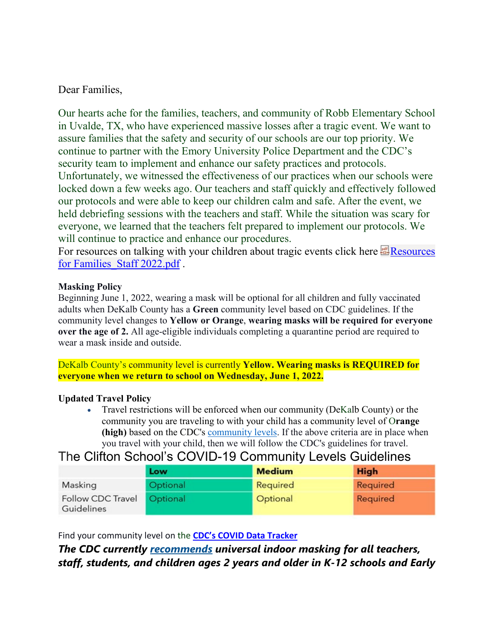### Dear Families,

Our hearts ache for the families, teachers, and community of Robb Elementary School in Uvalde, TX, who have experienced massive losses after a tragic event. We want to assure families that the safety and security of our schools are our top priority. We continue to partner with the Emory University Police Department and the CDC's security team to implement and enhance our safety practices and protocols. Unfortunately, we witnessed the effectiveness of our practices when our schools were locked down a few weeks ago. Our teachers and staff quickly and effectively followed our protocols and were able to keep our children calm and safe. After the event, we held debriefing sessions with the teachers and staff. While the situation was scary for everyone, we learned that the teachers felt prepared to implement our protocols. We will continue to practice and enhance our procedures.

For resources on talking with your children about tragic events click here **[Resources](https://thecliftonschool-my.sharepoint.com/:b:/g/personal/nfeagin_thecliftonschool_org/ESLTZipY4UJJo0SBnDihE9gBnHXNq2M3WZpJtP8o8l_2Cg)** for [Families\\_Staff](https://thecliftonschool-my.sharepoint.com/:b:/g/personal/nfeagin_thecliftonschool_org/ESLTZipY4UJJo0SBnDihE9gBnHXNq2M3WZpJtP8o8l_2Cg) 2022.pdf .

### **Masking Policy**

Beginning June 1, 2022, wearing a mask will be optional for all children and fully vaccinated adults when DeKalb County has a **Green** community level based on CDC guidelines. If the community level changes to **Yellow or Orange**, **wearing masks will be required for everyone over the age of 2.** All age-eligible individuals completing a quarantine period are required to wear a mask inside and outside.

DeKalb County's community level is currently **Yellow. Wearing masks is REQUIRED for everyone when we return to school on Wednesday, June 1, 2022.** 

### **Updated Travel Policy**

• Travel restrictions will be enforced when our community (DeKalb County) or the community you are traveling to with your child has a community level of O**range (high)** based on the CDC's [community levels.](https://nam11.safelinks.protection.outlook.com/?url=https%3A%2F%2Fwww.cdc.gov%2Fcoronavirus%2F2019-ncov%2Fscience%2Fcommunity-levels.html&data=05%7C01%7Cg.sadigh%40emory.edu%7C6b4af2d5f4524d0d943d08da2d2af4ec%7Ce004fb9cb0a4424fbcd0322606d5df38%7C0%7C0%7C637871960382740060%7CUnknown%7CTWFpbGZsb3d8eyJWIjoiMC4wLjAwMDAiLCJQIjoiV2luMzIiLCJBTiI6Ik1haWwiLCJXVCI6Mn0%3D%7C3000%7C%7C%7C&sdata=vsXdHRXVwlmCuHjcpxQatq2peTF5cxbl7pWLapW4WRA%3D&reserved=0) If the above criteria are in place when you travel with your child, then we will follow the CDC's guidelines for travel.

# The Clifton School's COVID-19 Community Levels Guidelines

|                                 | Low      | <b>Medium</b> | <b>High</b> |
|---------------------------------|----------|---------------|-------------|
| Masking                         | Optional | Required      | Required    |
| Follow CDC Travel<br>Guidelines | Optional | Optional      | Required    |

Find your community level on the **CDC's COVID Data [Tracker](https://covid.cdc.gov/covid-data-tracker/#county-view?list_select_state=all_states&list_select_county=all_counties&data-type=CommunityLevels)**

## *The CDC currently [recommends](https://www.cdc.gov/coronavirus/2019-ncov/community/schools-childcare/k-12-childcare-guidance.html) universal indoor masking for all teachers, staff, students, and children ages 2 years and older in K-12 schools and Early*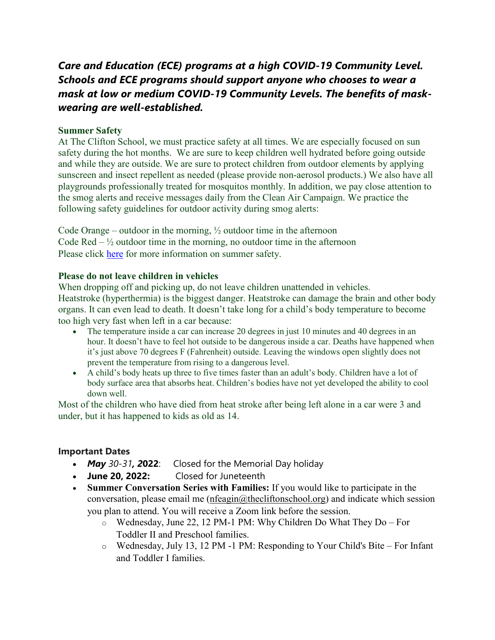## *Care and Education (ECE) programs at a high COVID-19 Community Level. Schools and ECE programs should support anyone who chooses to wear a mask at low or medium COVID-19 Community Levels. The benefits of maskwearing are well-established.*

#### **Summer Safety**

At The Clifton School, we must practice safety at all times. We are especially focused on sun safety during the hot months. We are sure to keep children well hydrated before going outside and while they are outside. We are sure to protect children from outdoor elements by applying sunscreen and insect repellent as needed (please provide non-aerosol products.) We also have all playgrounds professionally treated for mosquitos monthly. In addition, we pay close attention to the smog alerts and receive messages daily from the Clean Air Campaign. We practice the following safety guidelines for outdoor activity during smog alerts:

Code Orange – outdoor in the morning,  $\frac{1}{2}$  outdoor time in the afternoon Code  $\text{Red} - \frac{1}{2}$  outdoor time in the morning, no outdoor time in the afternoon Please click [here](https://www.cdc.gov/cancer/skin/basic_info/sun-safety.htm) for more information on summer safety.

#### **Please do not leave children in vehicles**

When dropping off and picking up, do not leave children unattended in vehicles. Heatstroke (hyperthermia) is the biggest danger. Heatstroke can damage the brain and other body organs. It can even lead to death. It doesn't take long for a child's body temperature to become too high very fast when left in a car because:

- The temperature inside a car can increase 20 degrees in just 10 minutes and 40 degrees in an hour. It doesn't have to feel hot outside to be dangerous inside a car. Deaths have happened when it's just above 70 degrees F (Fahrenheit) outside. Leaving the windows open slightly does not prevent the temperature from rising to a dangerous level.
- A child's body heats up three to five times faster than an adult's body. Children have a lot of body surface area that absorbs heat. Children's bodies have not yet developed the ability to cool down well.

Most of the children who have died from heat stroke after being left alone in a car were 3 and under, but it has happened to kids as old as 14.

### **Important Dates**

- *May 30-31, 2***022**: Closed for the Memorial Day holiday
- **June 20, 2022:** Closed for Juneteenth
- **Summer Conversation Series with Families:** If you would like to participate in the conversation, please email me [\(nfeagin@thecliftonschool.org\)](mailto:nfeagin@thecliftonschool.org) and indicate which session you plan to attend. You will receive a Zoom link before the session.
	- o Wednesday, June 22, 12 PM-1 PM: Why Children Do What They Do For Toddler II and Preschool families.
	- o Wednesday, July 13, 12 PM -1 PM: Responding to Your Child's Bite For Infant and Toddler I families.